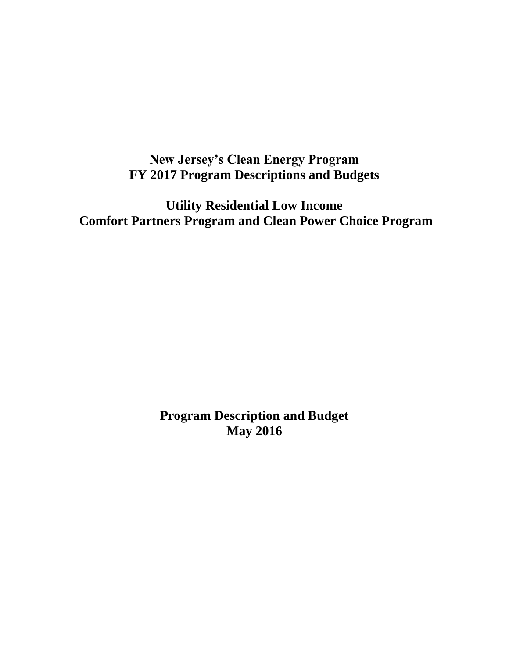# **New Jersey's Clean Energy Program FY 2017 Program Descriptions and Budgets**

**Utility Residential Low Income Comfort Partners Program and Clean Power Choice Program**

> **Program Description and Budget May 2016**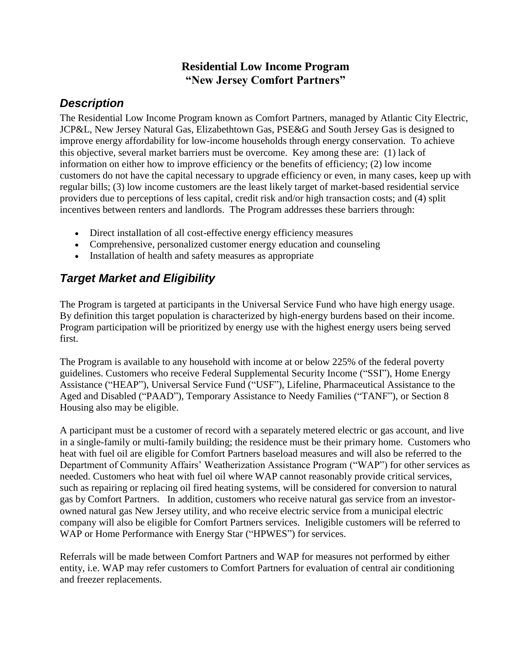### **Residential Low Income Program "New Jersey Comfort Partners"**

## *Description*

The Residential Low Income Program known as Comfort Partners, managed by Atlantic City Electric, JCP&L, New Jersey Natural Gas, Elizabethtown Gas, PSE&G and South Jersey Gas is designed to improve energy affordability for low-income households through energy conservation. To achieve this objective, several market barriers must be overcome. Key among these are: (1) lack of information on either how to improve efficiency or the benefits of efficiency; (2) low income customers do not have the capital necessary to upgrade efficiency or even, in many cases, keep up with regular bills; (3) low income customers are the least likely target of market-based residential service providers due to perceptions of less capital, credit risk and/or high transaction costs; and (4) split incentives between renters and landlords. The Program addresses these barriers through:

- Direct installation of all cost-effective energy efficiency measures
- Comprehensive, personalized customer energy education and counseling
- Installation of health and safety measures as appropriate

## *Target Market and Eligibility*

The Program is targeted at participants in the Universal Service Fund who have high energy usage. By definition this target population is characterized by high-energy burdens based on their income. Program participation will be prioritized by energy use with the highest energy users being served first.

The Program is available to any household with income at or below 225% of the federal poverty guidelines. Customers who receive Federal Supplemental Security Income ("SSI"), Home Energy Assistance ("HEAP"), Universal Service Fund ("USF"), Lifeline, Pharmaceutical Assistance to the Aged and Disabled ("PAAD"), Temporary Assistance to Needy Families ("TANF"), or Section 8 Housing also may be eligible.

A participant must be a customer of record with a separately metered electric or gas account, and live in a single-family or multi-family building; the residence must be their primary home. Customers who heat with fuel oil are eligible for Comfort Partners baseload measures and will also be referred to the Department of Community Affairs' Weatherization Assistance Program ("WAP") for other services as needed. Customers who heat with fuel oil where WAP cannot reasonably provide critical services, such as repairing or replacing oil fired heating systems, will be considered for conversion to natural gas by Comfort Partners. In addition, customers who receive natural gas service from an investorowned natural gas New Jersey utility, and who receive electric service from a municipal electric company will also be eligible for Comfort Partners services. Ineligible customers will be referred to WAP or Home Performance with Energy Star ("HPWES") for services.

Referrals will be made between Comfort Partners and WAP for measures not performed by either entity, i.e. WAP may refer customers to Comfort Partners for evaluation of central air conditioning and freezer replacements.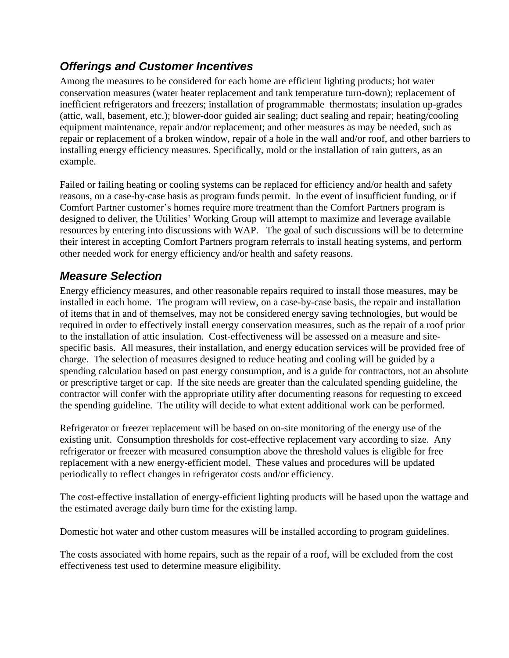## *Offerings and Customer Incentives*

Among the measures to be considered for each home are efficient lighting products; hot water conservation measures (water heater replacement and tank temperature turn-down); replacement of inefficient refrigerators and freezers; installation of programmable thermostats; insulation up-grades (attic, wall, basement, etc.); blower-door guided air sealing; duct sealing and repair; heating/cooling equipment maintenance, repair and/or replacement; and other measures as may be needed, such as repair or replacement of a broken window, repair of a hole in the wall and/or roof, and other barriers to installing energy efficiency measures. Specifically, mold or the installation of rain gutters, as an example.

Failed or failing heating or cooling systems can be replaced for efficiency and/or health and safety reasons, on a case-by-case basis as program funds permit. In the event of insufficient funding, or if Comfort Partner customer's homes require more treatment than the Comfort Partners program is designed to deliver, the Utilities' Working Group will attempt to maximize and leverage available resources by entering into discussions with WAP. The goal of such discussions will be to determine their interest in accepting Comfort Partners program referrals to install heating systems, and perform other needed work for energy efficiency and/or health and safety reasons.

## *Measure Selection*

Energy efficiency measures, and other reasonable repairs required to install those measures, may be installed in each home. The program will review, on a case-by-case basis, the repair and installation of items that in and of themselves, may not be considered energy saving technologies, but would be required in order to effectively install energy conservation measures, such as the repair of a roof prior to the installation of attic insulation. Cost-effectiveness will be assessed on a measure and sitespecific basis. All measures, their installation, and energy education services will be provided free of charge. The selection of measures designed to reduce heating and cooling will be guided by a spending calculation based on past energy consumption, and is a guide for contractors, not an absolute or prescriptive target or cap. If the site needs are greater than the calculated spending guideline, the contractor will confer with the appropriate utility after documenting reasons for requesting to exceed the spending guideline. The utility will decide to what extent additional work can be performed.

Refrigerator or freezer replacement will be based on on-site monitoring of the energy use of the existing unit. Consumption thresholds for cost-effective replacement vary according to size. Any refrigerator or freezer with measured consumption above the threshold values is eligible for free replacement with a new energy-efficient model. These values and procedures will be updated periodically to reflect changes in refrigerator costs and/or efficiency.

The cost-effective installation of energy-efficient lighting products will be based upon the wattage and the estimated average daily burn time for the existing lamp.

Domestic hot water and other custom measures will be installed according to program guidelines.

The costs associated with home repairs, such as the repair of a roof, will be excluded from the cost effectiveness test used to determine measure eligibility.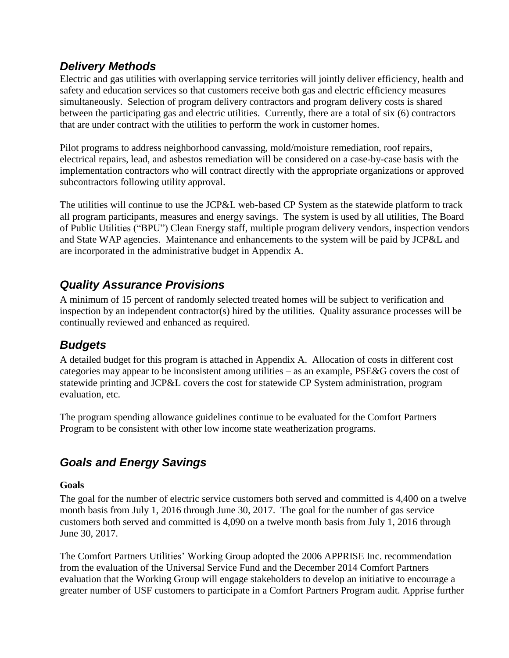## *Delivery Methods*

Electric and gas utilities with overlapping service territories will jointly deliver efficiency, health and safety and education services so that customers receive both gas and electric efficiency measures simultaneously. Selection of program delivery contractors and program delivery costs is shared between the participating gas and electric utilities. Currently, there are a total of six (6) contractors that are under contract with the utilities to perform the work in customer homes.

Pilot programs to address neighborhood canvassing, mold/moisture remediation, roof repairs, electrical repairs, lead, and asbestos remediation will be considered on a case-by-case basis with the implementation contractors who will contract directly with the appropriate organizations or approved subcontractors following utility approval.

The utilities will continue to use the JCP&L web-based CP System as the statewide platform to track all program participants, measures and energy savings. The system is used by all utilities, The Board of Public Utilities ("BPU") Clean Energy staff, multiple program delivery vendors, inspection vendors and State WAP agencies. Maintenance and enhancements to the system will be paid by JCP&L and are incorporated in the administrative budget in Appendix A.

## *Quality Assurance Provisions*

A minimum of 15 percent of randomly selected treated homes will be subject to verification and inspection by an independent contractor(s) hired by the utilities. Quality assurance processes will be continually reviewed and enhanced as required.

## *Budgets*

A detailed budget for this program is attached in Appendix A. Allocation of costs in different cost categories may appear to be inconsistent among utilities – as an example, PSE&G covers the cost of statewide printing and JCP&L covers the cost for statewide CP System administration, program evaluation, etc.

The program spending allowance guidelines continue to be evaluated for the Comfort Partners Program to be consistent with other low income state weatherization programs.

# *Goals and Energy Savings*

#### **Goals**

The goal for the number of electric service customers both served and committed is 4,400 on a twelve month basis from July 1, 2016 through June 30, 2017. The goal for the number of gas service customers both served and committed is 4,090 on a twelve month basis from July 1, 2016 through June 30, 2017.

The Comfort Partners Utilities' Working Group adopted the 2006 APPRISE Inc. recommendation from the evaluation of the Universal Service Fund and the December 2014 Comfort Partners evaluation that the Working Group will engage stakeholders to develop an initiative to encourage a greater number of USF customers to participate in a Comfort Partners Program audit. Apprise further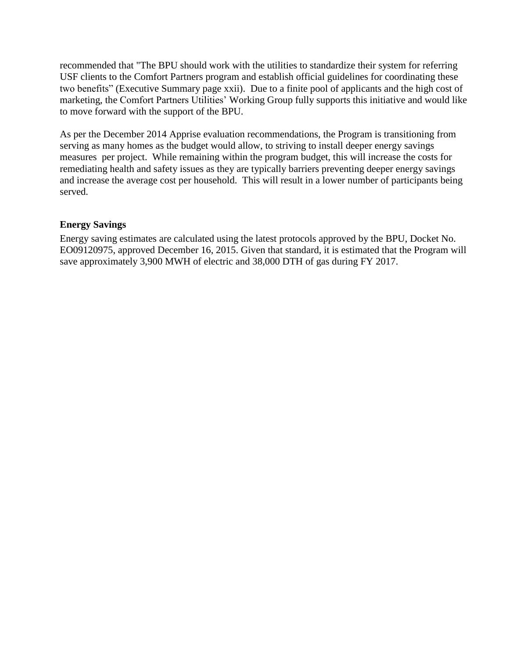recommended that "The BPU should work with the utilities to standardize their system for referring USF clients to the Comfort Partners program and establish official guidelines for coordinating these two benefits" (Executive Summary page xxii). Due to a finite pool of applicants and the high cost of marketing, the Comfort Partners Utilities' Working Group fully supports this initiative and would like to move forward with the support of the BPU.

As per the December 2014 Apprise evaluation recommendations, the Program is transitioning from serving as many homes as the budget would allow, to striving to install deeper energy savings measures per project. While remaining within the program budget, this will increase the costs for remediating health and safety issues as they are typically barriers preventing deeper energy savings and increase the average cost per household. This will result in a lower number of participants being served.

#### **Energy Savings**

Energy saving estimates are calculated using the latest protocols approved by the BPU, Docket No. EO09120975, approved December 16, 2015. Given that standard, it is estimated that the Program will save approximately 3,900 MWH of electric and 38,000 DTH of gas during FY 2017.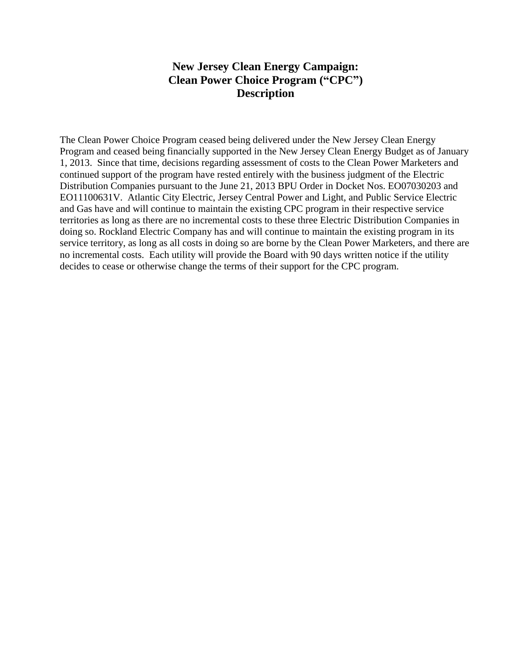#### **New Jersey Clean Energy Campaign: Clean Power Choice Program ("CPC") Description**

The Clean Power Choice Program ceased being delivered under the New Jersey Clean Energy Program and ceased being financially supported in the New Jersey Clean Energy Budget as of January 1, 2013. Since that time, decisions regarding assessment of costs to the Clean Power Marketers and continued support of the program have rested entirely with the business judgment of the Electric Distribution Companies pursuant to the June 21, 2013 BPU Order in Docket Nos. EO07030203 and EO11100631V. Atlantic City Electric, Jersey Central Power and Light, and Public Service Electric and Gas have and will continue to maintain the existing CPC program in their respective service territories as long as there are no incremental costs to these three Electric Distribution Companies in doing so. Rockland Electric Company has and will continue to maintain the existing program in its service territory, as long as all costs in doing so are borne by the Clean Power Marketers, and there are no incremental costs. Each utility will provide the Board with 90 days written notice if the utility decides to cease or otherwise change the terms of their support for the CPC program.